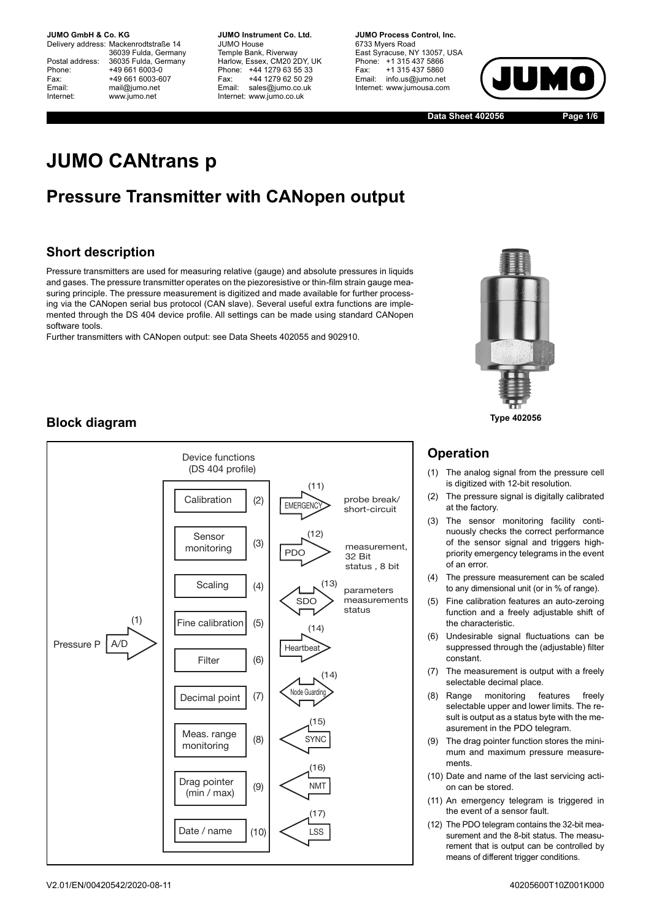**JUMO GmbH & Co. KG.** 

Delivery address: Mackenrodtstraße 14 36039 Fulda, Germany Postal address: 36035 Fulda, Germany<br>Phone: +49 661 6003-0 Phone: +49 661 6003-0<br>Fax: +49 661 6003-6 Fax: +49 661 6003-607<br>
Fmail: mail@iumo.net mail@iumo.net Internet: www.jumo.net

**-BUMO Instrument Co. Ltd.** JUMO House Temple Bank, Riverway Harlow, Essex, CM20 2DY, UK Phone: +44 1279 63 55 33<br>Fax: +44 1279 62 50 29 Fax: +44 1279 62 50 29<br>Email: sales@iumo.co.uk sales@iumo.co.uk Internet: www.jumo.co.uk

**-BURG Process Control Inc.** 6733 Myers Road East Syracuse, NY 13057, USA Phone: +1 315 437 5866<br>Fax: +1 315 437 5860 Fax: +1 315 437 5860<br>Email: info.us@jumo.net info.us@jumo.net Internet: www.jumousa.com



**Data Sheet 402056 Page 1/6**

# **JUMO CANtrans p**

# **Pressure Transmitter with CANopen output**

# **Short description**

Pressure transmitters are used for measuring relative (gauge) and absolute pressures in liquids and gases. The pressure transmitter operates on the piezoresistive or thin-film strain gauge measuring principle. The pressure measurement is digitized and made available for further processing via the CANopen serial bus protocol (CAN slave). Several useful extra functions are implemented through the DS 404 device profile. All settings can be made using standard CANopen software tools.

Further transmitters with CANopen output: see Data Sheets 402055 and 902910.



### **Type 402056**

# **Operation**

- (1) The analog signal from the pressure cell is digitized with 12-bit resolution.
- (2) The pressure signal is digitally calibrated at the factory.
- (3) The sensor monitoring facility continuously checks the correct performance of the sensor signal and triggers highpriority emergency telegrams in the event of an error.
- (4) The pressure measurement can be scaled to any dimensional unit (or in % of range).
- (5) Fine calibration features an auto-zeroing function and a freely adjustable shift of the characteristic.
- (6) Undesirable signal fluctuations can be suppressed through the (adjustable) filter constant.
- (7) The measurement is output with a freely selectable decimal place.
- (8) Range monitoring features freely selectable upper and lower limits. The result is output as a status byte with the measurement in the PDO telegram.
- (9) The drag pointer function stores the minimum and maximum pressure measurements.
- (10) Date and name of the last servicing action can be stored.
- (11) An emergency telegram is triggered in the event of a sensor fault.
- (12) The PDO telegram contains the 32-bit measurement and the 8-bit status. The measurement that is output can be controlled by means of different trigger conditions.

# **Block diagram**

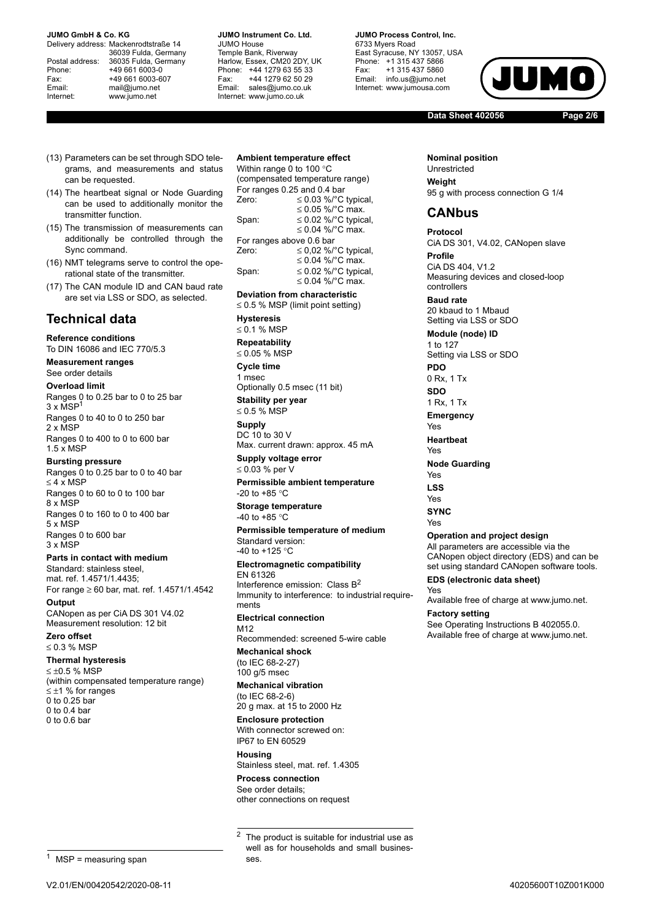#### **JUMO GmbH & Co. KG.**

Delivery address: Mackenrodtstraße 14 36039 Fulda, Germany Postal address: 36035 Fulda, Germany<br>Phone: +49 661 6003-0 Phone: +49 661 6003-0<br>
Fax: +49 661 6003-6<br>
Email: mail@iumo.net +49 661 6003-607 mail@iumo.net Internet: www.jumo.net

**-BUMO Instrument Co. Ltd.** JUMO House Temple Bank, Riverway Harlow, Essex, CM20 2DY, UK Phone: +44 1279 63 55 33<br>Fax: +44 1279 62 50 29 Fax: +44 1279 62 50 29<br>Email: sales@iumo.co.uk sales@iumo.co.uk Internet: www.jumo.co.uk

**-BURG Process Control Inc.** 6733 Myers Road East Syracuse, NY 13057, USA Phone: +1 315 437 5866<br>Fax: +1 315 437 5860 Fax: +1 315 437 5860<br>Email: info.us@jumo.net info.us@jumo.net Internet: www.iumousa.com

JIUM

**Data Sheet 402056 Page 2/6**

- (13) Parameters can be set through SDO telegrams, and measurements and status can be requested.
- (14) The heartbeat signal or Node Guarding can be used to additionally monitor the transmitter function.
- (15) The transmission of measurements can additionally be controlled through the Sync command.
- (16) NMT telegrams serve to control the operational state of the transmitter.
- (17) The CAN module ID and CAN baud rate are set via LSS or SDO, as selected.

## **Technical data**

**Reference conditions** To DIN 16086 and IEC 770/5.3

**Measurement ranges** See order details

**Overload limit**

Ranges 0 to 0.25 bar to 0 to 25 bar 3 x MSP1 Ranges 0 to 40 to 0 to 250 bar 2 x MSP Ranges 0 to 400 to 0 to 600 bar 1.5 x MSP

#### **Bursting pressure**

Ranges 0 to 0.25 bar to 0 to 40 bar  $<$  4  $\times$  MSP Ranges 0 to 60 to 0 to 100 bar 8 x MSP Ranges 0 to 160 to 0 to 400 bar 5 x MSP Ranges 0 to 600 bar 3 x MSP

### **Parts in contact with medium**

Standard: stainless steel mat. ref. 1.4571/1.4435; For range  $\geq 60$  bar, mat. ref. 1.4571/1.4542

**Output**

CANopen as per CiA DS 301 V4.02 Measurement resolution: 12 bit

**Zero offset**  $\leq$  0.3 % MSP

### **Thermal hysteresis**

 $\leq \pm 0.5$  % MSP (within compensated temperature range)  $\leq \pm 1$  % for ranges 0 to 0.25 bar  $0$  to  $0.4$  bar 0 to 0.6 bar

## **Ambient temperature effect**

Within range 0 to 100 $\degree$ C (compensated temperature range) For ranges 0.25 and 0.4 bar<br>Zero:  $\leq 0.03\%$  °C  $\leq$  0.03 %/°C typical, ≤ 0.05 %/ $^{\circ}$ C max. Span:  $\leq 0.02$  %/°C typical, ≤ 0.04 %/ $^{\circ}$ C max. For ranges above 0.6 bar Zero:  $\leq 0.02$  %/°C typical, ≤ 0.04 %/°C max. Span:  $\leq 0.02 \%$  /°C typical, ≤ 0.04 %/ $^{\circ}$ C max.

**Deviation from characteristic**

 $\leq$  0.5 % MSP (limit point setting) **Hysteresis**  $\leq$  0.1 % MSP **Repeatability**  $\leq$  0.05 % MSP **Cycle time**

1 msec Optionally 0.5 msec (11 bit) **Stability per year**

 $\leq$  0.5 % MSP **Supply** DC 10 to 30 V Max. current drawn: approx. 45 mA

**Supply voltage error**  $\leq$  0.03 % per V

**Permissible ambient temperature** -20 to +85  $^{\circ}$ C

**Storage temperature** -40 to +85  $^{\circ}$ C

**Permissible temperature of medium** Standard version:

-40 to +125  $^{\circ}$ C **Electromagnetic compatibility**

#### EN 61326

Interference emission: Class  $B^2$ Immunity to interference: to industrial requirements **Electrical connection**

M12 Recommended: screened 5-wire cable

**Mechanical shock** (to IEC 68-2-27) 100 g/5 msec

**Mechanical vibration** (to IEC 68-2-6)

20 g max. at 15 to 2000 Hz

**Enclosure protection** With connector screwed on: IP67 to EN 60529

**Housing** Stainless steel, mat. ref. 1.4305

**Process connection** See order details; other connections on request

<sup>2</sup> The product is suitable for industrial use as well as for households and small businesses.

**Nominal position** Unrestricted **Weight** 95 g with process connection G 1/4

## **CANbus**

**Protocol** CiA DS 301, V4.02, CANopen slave **Profile** CiA DS 404, V1.2 Measuring devices and closed-loop

controllers **Baud rate**

20 kbaud to 1 Mbaud Setting via LSS or SDO

**Module (node) ID** 1 to 127 Setting via LSS or SDO **PDO**

0 Rx, 1 Tx

**SDO** 1 Rx, 1 Tx

**Emergency**

Yes

**Heartbeat**

Yes

- **Node Guarding**
- Yes **LSS**
- Yes
	-

**SYNC** Yes

## **Operation and project design**

All parameters are accessible via the CANopen object directory (EDS) and can be set using standard CANopen software tools.

**EDS (electronic data sheet)**

Yes Available free of charge at www.jumo.net.

**Factory setting** See Operating Instructions B 402055.0. Available free of charge at www.jumo.net.

 $MSP =$  measuring span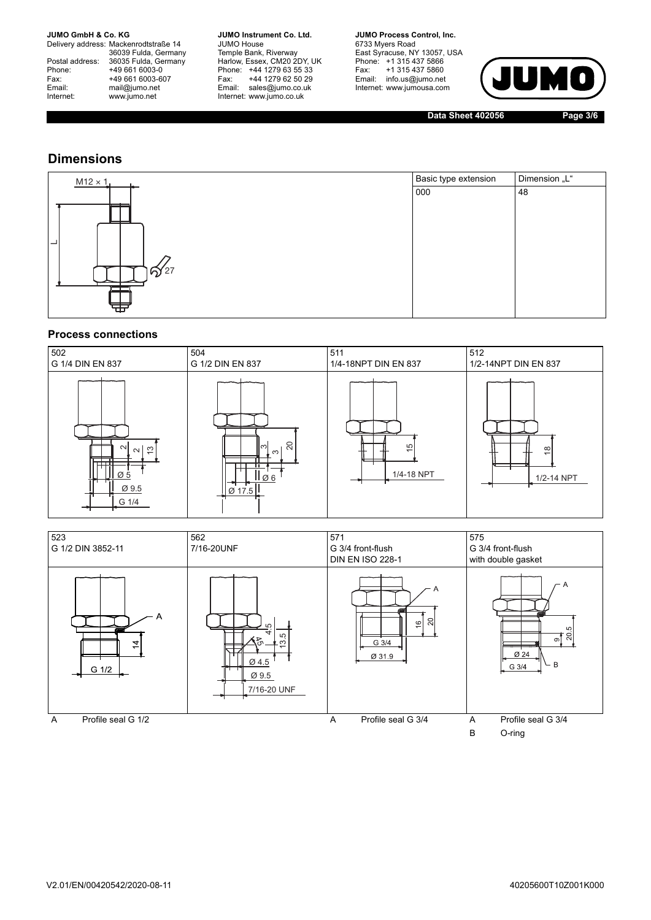#### **JUMO GmbH & Co. KG**

Delivery address: Mackenrodtstraße 14 36039 Fulda, Germany<br>Postal address: 36035 Fulda, Germany Phone: +49 661 6003-0<br>
Fax: +49 661 6003-6<br>
Email: mail@jumo.net +49 661 6003-607 Email: mail@jumo.net<br>Internet: www.iumo.net www.jumo.net

**JUMO Instrument Co. Ltd.** JUMO House Temple Bank, Riverway<br>Harlow, Essex, CM20 2DY, UK Phone: +44 1279 63 55 33<br>Fax: +44 1279 62 50 29 +44 1279 62 50 29 Email: sales@jumo.co.uk Internet: www.jumo.co.uk

**JUMO Process Control, Inc.** 6733 Myers Road East Syracuse, NY 13057, USA<br>Phone: +1 315 437 5866<br>Fax: +1 315 437 5860 Fax: +1 315 437 5860<br>Email: info.us@jumo.net Internet: www.jumousa.com



**Data Sheet 402056 Page 3/6**

## **Dimensions**

| $M12 \times 1$ | Basic type extension | Dimension "L" |
|----------------|----------------------|---------------|
|                | 000                  | 48            |
|                |                      |               |
|                |                      |               |
|                |                      |               |
| –              |                      |               |
| ඛි⁄27          |                      |               |
|                |                      |               |
|                |                      |               |
|                |                      |               |

## **Process connections**

| 502                                                                 | 504                                          | 511                         | 512                         |
|---------------------------------------------------------------------|----------------------------------------------|-----------------------------|-----------------------------|
| G 1/4 DIN EN 837                                                    | G 1/2 DIN EN 837                             | 1/4-18NPT DIN EN 837        | 1/2-14NPT DIN EN 837        |
| $\sim$<br>$\sim$ $\frac{1}{2}$<br>ா<br>┯┯┯╇<br>Ø5<br>Ø 9.5<br>G 1/4 | 20<br>။က<br>. ო<br>lø6<br>$\varnothing$ 17.5 | $\frac{5}{2}$<br>1/4-18 NPT | $\frac{8}{1}$<br>1/2-14 NPT |

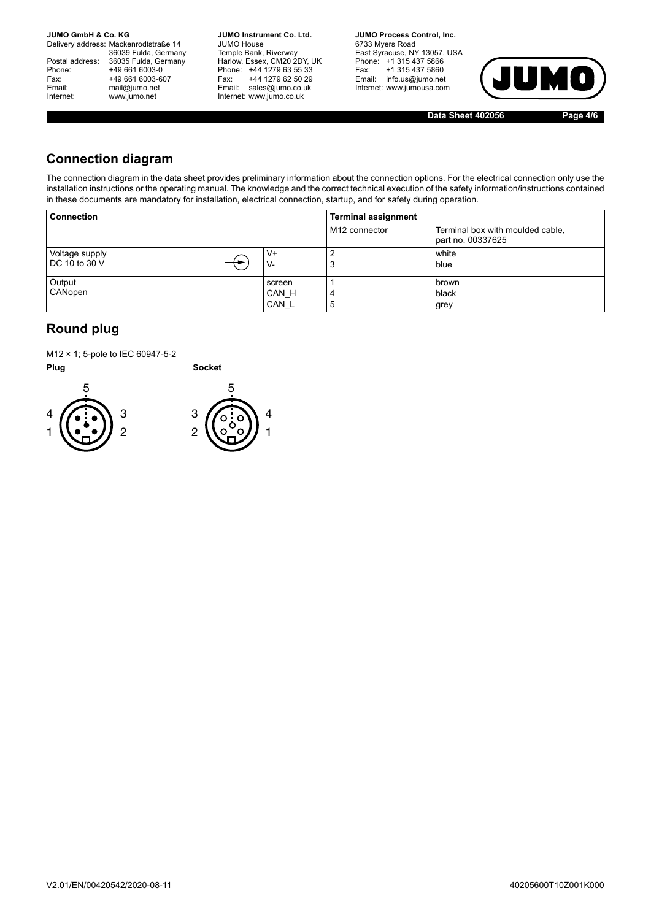**JUMO GmbH & Co. KG.** 

Delivery address: Mackenrodtstraße 14 36039 Fulda, Germany<br>Postal address: 36035 Fulda, Germany Phone: +49 661 6003-0<br>
Fax: +49 661 6003-6<br>
Email: mail@jumo.net +49 661 6003-607 mail@jumo.net Internet: www.jumo.net

**JUMO Instrument Co. Ltd.** JUMO House Temple Bank, Riverway<br>Harlow, Essex, CM20 2DY, UK Phone: +44 1279 63 55 33<br>Fax: +44 1279 62 50 29 +44 1279 62 50 29 Email: sales@jumo.co.uk Internet: www.jumo.co.uk

**JUMO Process Control, Inc.** 6733 Myers Road East Syracuse, NY 13057, USA Phone: +1 315 437 5866<br>Fax: +1 315 437 5860 Email: info.us@jumo.net Internet: www.jumousa.com



**Data Sheet 402056 Page 4/6**

# **Connection diagram**

The connection diagram in the data sheet provides preliminary information about the connection options. For the electrical connection only use the installation instructions or the operating manual. The knowledge and the correct technical execution of the safety information/instructions contained in these documents are mandatory for installation, electrical connection, startup, and for safety during operation.

| <b>Connection</b>               |                          | <b>Terminal assignment</b> |                                                       |  |  |  |  |
|---------------------------------|--------------------------|----------------------------|-------------------------------------------------------|--|--|--|--|
|                                 |                          | M <sub>12</sub> connector  | Terminal box with moulded cable,<br>part no. 00337625 |  |  |  |  |
| Voltage supply<br>DC 10 to 30 V | V+<br>V-                 | 2<br>3                     | white<br>blue                                         |  |  |  |  |
| Output<br>CANopen               | screen<br>CAN H<br>CAN L | 4<br>5                     | brown<br>black<br>grey                                |  |  |  |  |

# **Round plug**

M12 × 1; 5-pole to IEC 60947-5-2

**Plug Socket** 



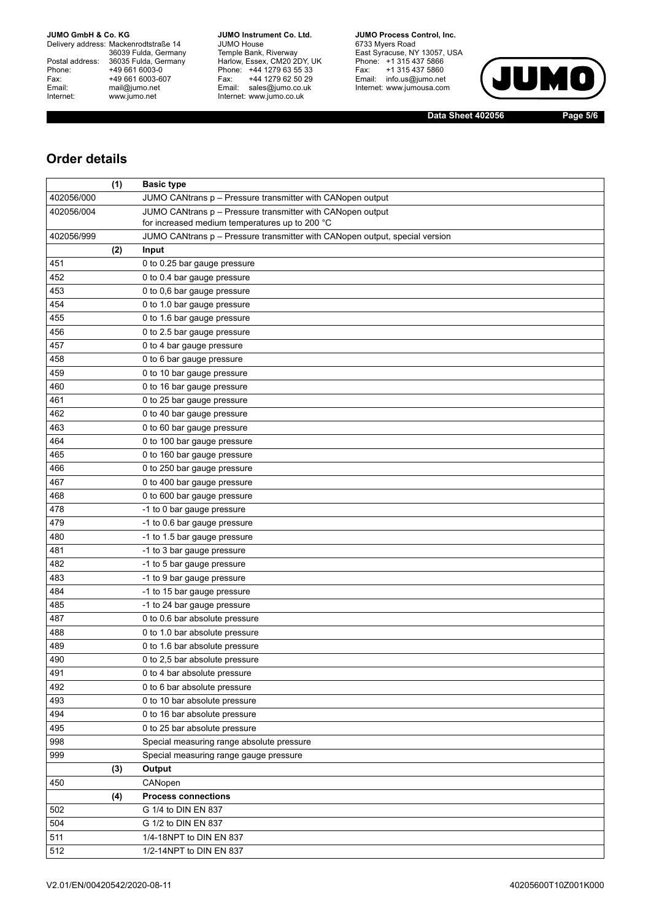#### **JUMO GmbH & Co. KG**

Delivery address: Mackenrodtstraße 14 36039 Fulda, Germany<br>Postal address: 36035 Fulda, Germany Phone: +49 661 6003-0<br>
Fax: +49 661 6003-6<br>
Email: mail@jumo.net +49 661 6003-607 Email: mail@jumo.net<br>Internet: www.iumo.net www.jumo.net

**JUMO Instrument Co. Ltd.** JUMO House Temple Bank, Riverway<br>Harlow, Essex, CM20 2DY, UK<br>Phone: +44 1279 63 55 33 Fax: +44 1279 62 50 29<br>Email: sales@jumo.co.uk Internet: www.jumo.co.uk

**JUMO Process Control. Inc.** 6733 Myers Road East Syracuse, NY 13057, USA<br>Phone: +1 315 437 5866<br>Fax: +1 315 437 5860 Email: info.us@jumo.net Internet: www.jumousa.com



**Data Sheet 402056 Page 5/6**

## **Order details**

|            | (1) | <b>Basic type</b>                                                           |
|------------|-----|-----------------------------------------------------------------------------|
| 402056/000 |     | JUMO CANtrans p - Pressure transmitter with CANopen output                  |
| 402056/004 |     | JUMO CANtrans p - Pressure transmitter with CANopen output                  |
|            |     | for increased medium temperatures up to 200 °C                              |
| 402056/999 |     | JUMO CANtrans p - Pressure transmitter with CANopen output, special version |
|            | (2) | Input                                                                       |
| 451        |     | 0 to 0.25 bar gauge pressure                                                |
| 452        |     | 0 to 0.4 bar gauge pressure                                                 |
| 453        |     | 0 to 0,6 bar gauge pressure                                                 |
| 454        |     | 0 to 1.0 bar gauge pressure                                                 |
| 455        |     | 0 to 1.6 bar gauge pressure                                                 |
| 456        |     | 0 to 2.5 bar gauge pressure                                                 |
| 457        |     | 0 to 4 bar gauge pressure                                                   |
| 458        |     | 0 to 6 bar gauge pressure                                                   |
| 459        |     | 0 to 10 bar gauge pressure                                                  |
| 460        |     | 0 to 16 bar gauge pressure                                                  |
| 461        |     | 0 to 25 bar gauge pressure                                                  |
| 462        |     | 0 to 40 bar gauge pressure                                                  |
| 463        |     | 0 to 60 bar gauge pressure                                                  |
| 464        |     | 0 to 100 bar gauge pressure                                                 |
| 465        |     | 0 to 160 bar gauge pressure                                                 |
| 466        |     | 0 to 250 bar gauge pressure                                                 |
| 467        |     | 0 to 400 bar gauge pressure                                                 |
| 468        |     | 0 to 600 bar gauge pressure                                                 |
| 478        |     | -1 to 0 bar gauge pressure                                                  |
| 479        |     | -1 to 0.6 bar gauge pressure                                                |
| 480        |     | -1 to 1.5 bar gauge pressure                                                |
| 481        |     | -1 to 3 bar gauge pressure                                                  |
| 482        |     | -1 to 5 bar gauge pressure                                                  |
| 483        |     | -1 to 9 bar gauge pressure                                                  |
| 484        |     | -1 to 15 bar gauge pressure                                                 |
| 485        |     | -1 to 24 bar gauge pressure                                                 |
| 487        |     | 0 to 0.6 bar absolute pressure                                              |
| 488        |     | 0 to 1.0 bar absolute pressure                                              |
| 489        |     | 0 to 1.6 bar absolute pressure                                              |
| 490        |     | 0 to 2,5 bar absolute pressure                                              |
| 491        |     | 0 to 4 bar absolute pressure                                                |
| 492        |     | 0 to 6 bar absolute pressure                                                |
| 493        |     | 0 to 10 bar absolute pressure                                               |
| 494        |     | 0 to 16 bar absolute pressure                                               |
| 495        |     | 0 to 25 bar absolute pressure                                               |
| 998        |     | Special measuring range absolute pressure                                   |
| 999        |     | Special measuring range gauge pressure                                      |
|            | (3) | Output                                                                      |
| 450        |     | CANopen                                                                     |
|            | (4) | <b>Process connections</b>                                                  |
| 502        |     | G 1/4 to DIN EN 837                                                         |
| 504        |     | G 1/2 to DIN EN 837                                                         |
| 511        |     | 1/4-18NPT to DIN EN 837                                                     |
| 512        |     | 1/2-14NPT to DIN EN 837                                                     |